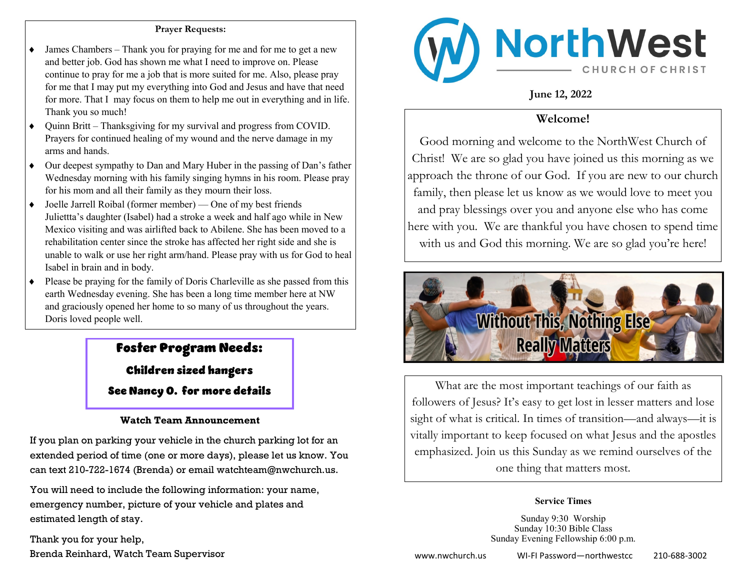#### **Prayer Requests:**

- James Chambers Thank you for praying for me and for me to get a new and better job. God has shown me what I need to improve on. Please continue to pray for me a job that is more suited for me. Also, please pray for me that I may put my everything into God and Jesus and have that need for more. That I may focus on them to help me out in everything and in life. Thank you so much!
- Quinn Britt Thanksgiving for my survival and progress from COVID. Prayers for continued healing of my wound and the nerve damage in my arms and hands.
- Our deepest sympathy to Dan and Mary Huber in the passing of Dan's father Wednesday morning with his family singing hymns in his room. Please pray for his mom and all their family as they mourn their loss.
- Joelle Jarrell Roibal (former member) One of my best friends Juliettta's daughter (Isabel) had a stroke a week and half ago while in New Mexico visiting and was airlifted back to Abilene. She has been moved to a rehabilitation center since the stroke has affected her right side and she is unable to walk or use her right arm/hand. Please pray with us for God to heal Isabel in brain and in body.
- Please be praying for the family of Doris Charleville as she passed from this earth Wednesday evening. She has been a long time member here at NW and graciously opened her home to so many of us throughout the years. Doris loved people well.

## Foster Program Needs:

Children sized hangers See Nancy O. for more details

### **Watch Team Announcement**

If you plan on parking your vehicle in the church parking lot for an extended period of time (one or more days), please let us know. You can text 210-722-1674 (Brenda) or email watchteam@nwchurch.us.

You will need to include the following information: your name, emergency number, picture of your vehicle and plates and estimated length of stay.

Thank you for your help,



**June 12, 2022**

## **Welcome!**

Good morning and welcome to the NorthWest Church of Christ! We are so glad you have joined us this morning as we approach the throne of our God. If you are new to our church family, then please let us know as we would love to meet you and pray blessings over you and anyone else who has come here with you. We are thankful you have chosen to spend time with us and God this morning. We are so glad you're here!



What are the most important teachings of our faith as followers of Jesus? It's easy to get lost in lesser matters and lose sight of what is critical. In times of transition—and always—it is vitally important to keep focused on what Jesus and the apostles emphasized. Join us this Sunday as we remind ourselves of the one thing that matters most.

#### **Service Times**

Sunday 9:30 Worship Sunday 10:30 Bible Class Sunday Evening Fellowship 6:00 p.m.